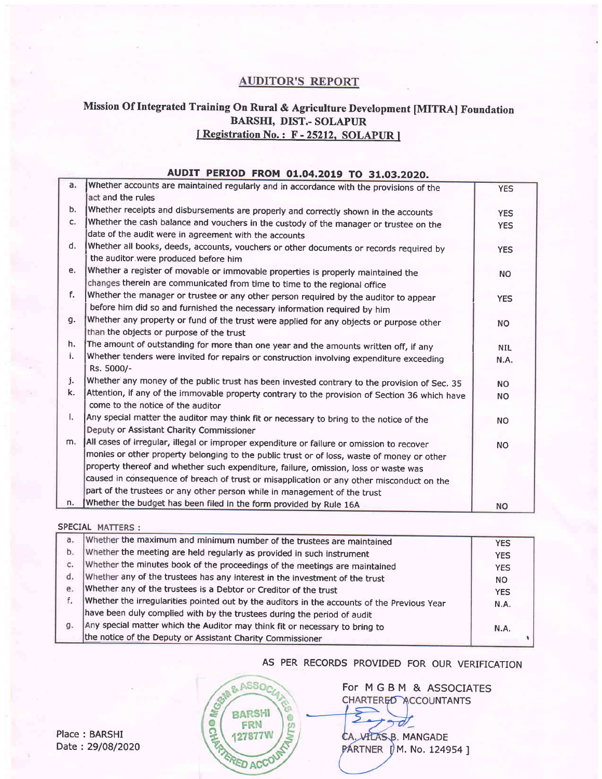### **AUDITOR'S REPORT**

# Mission Of Integrated Training On Rural & Agriculture Development [MITRA] Foundation BARSHI, DIST.- SOLAPUR I Registration No.: F - 25212, SOLAPUR |

#### AUDIT PERIOD FROM 01.04.2019 TO 31.03.2020'

| a. | Whether accounts are maintained regularly and in accordance with the provisions of the         |            |
|----|------------------------------------------------------------------------------------------------|------------|
|    | act and the rules                                                                              | <b>YES</b> |
| b. |                                                                                                |            |
|    | Whether receipts and disbursements are properly and correctly shown in the accounts            | <b>YES</b> |
| c. | Whether the cash balance and vouchers in the custody of the manager or trustee on the          | <b>YES</b> |
|    | date of the audit were in agreement with the accounts                                          |            |
| d. | Whether all books, deeds, accounts, vouchers or other documents or records required by         | <b>YES</b> |
|    | the auditor were produced before him                                                           |            |
| e. | Whether a register of movable or immovable properties is properly maintained the               | <b>NO</b>  |
|    | changes therein are communicated from time to time to the regional office                      |            |
| f. | Whether the manager or trustee or any other person required by the auditor to appear           | <b>YES</b> |
|    | before him did so and furnished the necessary information required by him                      |            |
| g. | Whether any property or fund of the trust were applied for any objects or purpose other        | NO.        |
|    | than the objects or purpose of the trust                                                       |            |
| h. | The amount of outstanding for more than one year and the amounts written off, if any           | <b>NIL</b> |
| i. | Whether tenders were invited for repairs or construction involving expenditure exceeding       | N.A.       |
|    | Rs. 5000/-                                                                                     |            |
| j. | Whether any money of the public trust has been invested contrary to the provision of Sec. 35   | <b>NO</b>  |
| k. | Attention, if any of the immovable property contrary to the provision of Section 36 which have | <b>NO</b>  |
|    | come to the notice of the auditor                                                              |            |
| L. | Any special matter the auditor may think fit or necessary to bring to the notice of the        | <b>NO</b>  |
|    | Deputy or Assistant Charity Commissioner                                                       |            |
| m. | All cases of irregular, illegal or improper expenditure or failure or omission to recover      | <b>NO</b>  |
|    | monies or other property belonging to the public trust or of loss, waste of money or other     |            |
|    | property thereof and whether such expenditure, failure, omission, loss or waste was            |            |
|    | caused in consequence of breach of trust or misapplication or any other misconduct on the      |            |
|    | part of the trustees or any other person while in management of the trust                      |            |
| n. | Whether the budget has been filed in the form provided by Rule 16A                             | <b>NO</b>  |

#### SPECIAL MATTERS :

 $\begin{bmatrix} 1 & 0 & 0 \\ 0 & 0 & 0 \\ 0 & 0 & 0 \\ 0 & 0 & 0 \\ 0 & 0 & 0 \\ 0 & 0 & 0 \\ 0 & 0 & 0 \\ 0 & 0 & 0 \\ 0 & 0 & 0 \\ 0 & 0 & 0 \\ 0 & 0 & 0 \\ 0 & 0 & 0 \\ 0 & 0 & 0 \\ 0 & 0 & 0 \\ 0 & 0 & 0 \\ 0 & 0 & 0 & 0 \\ 0 & 0 & 0 & 0 \\ 0 & 0 & 0 & 0 \\ 0 & 0 & 0 & 0 \\ 0 & 0 & 0 & 0 \\ 0 & 0 & 0 & 0 & 0 \\ 0 &$ 

| a.             | Whether the maximum and minimum number of the trustees are maintained                       | <b>YES</b> |
|----------------|---------------------------------------------------------------------------------------------|------------|
| b.             | Whether the meeting are held regularly as provided in such instrument                       | <b>YES</b> |
| $\mathsf{C}$ . | Whether the minutes book of the proceedings of the meetings are maintained                  | <b>YES</b> |
| d.             | Whether any of the trustees has any interest in the investment of the trust                 | NO.        |
| e.             | Whether any of the trustees is a Debtor or Creditor of the trust                            | <b>YES</b> |
| f.             | Whether the irregularities pointed out by the auditors in the accounts of the Previous Year | N.A.       |
|                | have been duly complied with by the trustees during the period of audit                     |            |
| g.             | Any special matter which the Auditor may think fit or necessary to bring to                 | N.A.       |
|                | the notice of the Deputy or Assistant Charity Commissioner                                  |            |
|                |                                                                                             |            |

AS PER RECORDS PROVIDED FOR OUR VERIFICATION

**SAME ASSOCIATED ACCOUNT** çη

For MGBM & ASSOCIATES CHARTER<sub>50</sub> ACCOUNTANTS

 $\partial\!\!\mathscr{I}$ CA. VILAS B. MANGADE PARTNER (M. No. 124954)

Place : BARSHI Date : 29/08/2020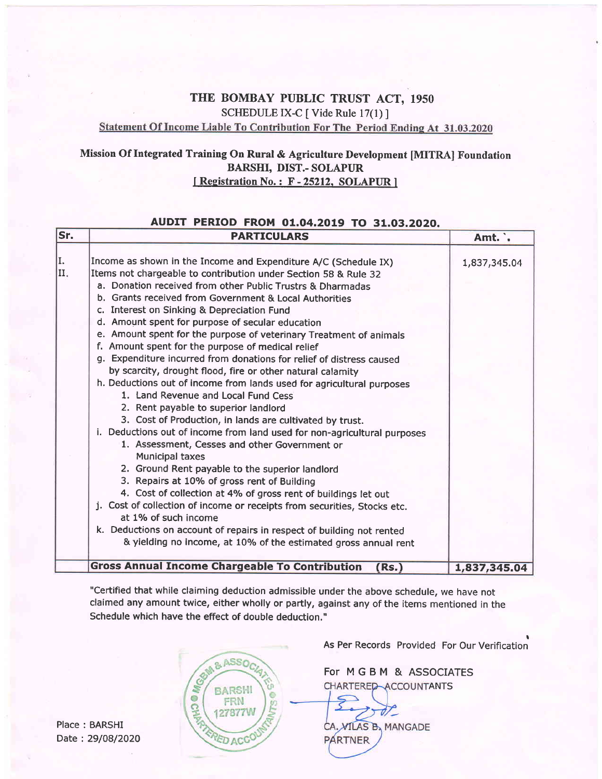# THE BOMBAY PUBLIC TRUST ACT, <sup>1950</sup> SCHEDULE IX-C [ Vide Rule 17(1) ]<br>Statement Of Income Liable To Contribution For The Period Ending At 31.03.2020

# Mission Of Integrated Training On Rural & Agriculture Development [MITRA] Foundation BARSHI, DIST.- SOLAPIIR I Registration No.: F - 25212, SOLAPUR ]

#### AUDIT PERIOD FROM 01.04.2019 TO 31.03.2020.

| Sr.        | <b>PARTICULARS</b>                                                                                                                                                                                                                                                                                                                                                                                                                                                                                                                                                                                                                                                                                                                                                                                                                                                                                                                                                                                                                                                                                                                                                                                                                                                                                                                                                                                                           | Amt. .       |
|------------|------------------------------------------------------------------------------------------------------------------------------------------------------------------------------------------------------------------------------------------------------------------------------------------------------------------------------------------------------------------------------------------------------------------------------------------------------------------------------------------------------------------------------------------------------------------------------------------------------------------------------------------------------------------------------------------------------------------------------------------------------------------------------------------------------------------------------------------------------------------------------------------------------------------------------------------------------------------------------------------------------------------------------------------------------------------------------------------------------------------------------------------------------------------------------------------------------------------------------------------------------------------------------------------------------------------------------------------------------------------------------------------------------------------------------|--------------|
| II.<br>II. | Income as shown in the Income and Expenditure A/C (Schedule IX)<br>Items not chargeable to contribution under Section 58 & Rule 32<br>a. Donation received from other Public Trustrs & Dharmadas<br>b. Grants received from Government & Local Authorities<br>c. Interest on Sinking & Depreciation Fund<br>d. Amount spent for purpose of secular education<br>e. Amount spent for the purpose of veterinary Treatment of animals<br>f. Amount spent for the purpose of medical relief<br>g. Expenditure incurred from donations for relief of distress caused<br>by scarcity, drought flood, fire or other natural calamity<br>h. Deductions out of income from lands used for agricultural purposes<br>1. Land Revenue and Local Fund Cess<br>2. Rent payable to superior landlord<br>3. Cost of Production, in lands are cultivated by trust.<br>i. Deductions out of income from land used for non-agricultural purposes<br>1. Assessment, Cesses and other Government or<br><b>Municipal taxes</b><br>2. Ground Rent payable to the superior landlord<br>3. Repairs at 10% of gross rent of Building<br>4. Cost of collection at 4% of gross rent of buildings let out<br>j. Cost of collection of income or receipts from securities, Stocks etc.<br>at 1% of such income<br>k. Deductions on account of repairs in respect of building not rented<br>& yielding no income, at 10% of the estimated gross annual rent | 1,837,345.04 |
|            | <b>Gross Annual Income Chargeable To Contribution</b><br>(Rs.)                                                                                                                                                                                                                                                                                                                                                                                                                                                                                                                                                                                                                                                                                                                                                                                                                                                                                                                                                                                                                                                                                                                                                                                                                                                                                                                                                               | 1,837,345.04 |

"Certified that while claiming deduction admissible under the above schedule, we have not claimed any amount twice, either wholly or partly, against any of the items mentioned in the Schedule which have the effect of double deduction."

Place : BARSHI Date : 29/08/2020 **PROGRESS** & ASSO<sub>C</sub> **BARSHI** FRN 27877W **ED ACC** 

**.**<br>As Per Records Provided For Our Verification

For MGBM & ASSOCIATES CHARTERED ACCOUNTANTS

T CA. VILAS B, MANGADE **PARTNER**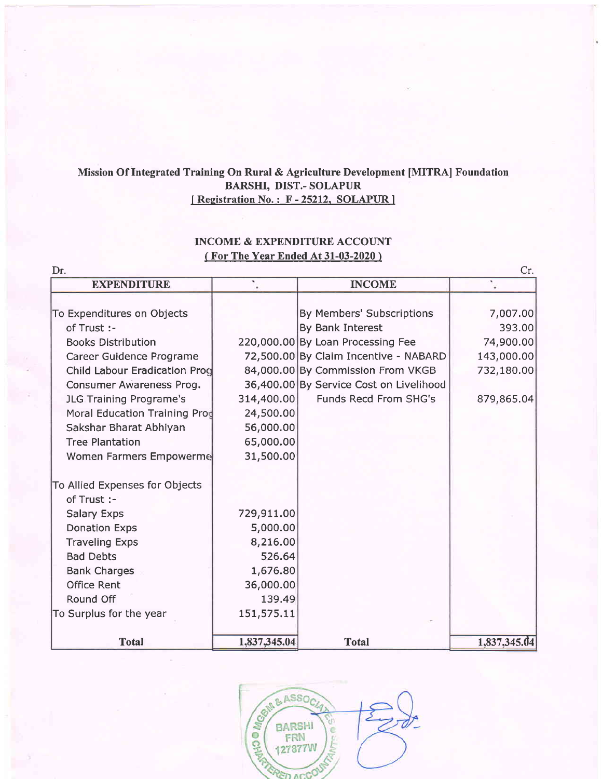## Mission Of Integrated Training On Rural & Agriculture Development [MITRA] Foundation BARSHI, DIST.- SOLAPUR I Registration No.: F - 25212, SOLAPUR ]

## INCOME & EXPENDITURE ACCOUNT (For The Year Ended At 31-03-2020)

| Dr.                                  |              |                                         | Cr.          |
|--------------------------------------|--------------|-----------------------------------------|--------------|
| <b>EXPENDITURE</b>                   |              | <b>INCOME</b>                           | ۰            |
|                                      |              |                                         |              |
| To Expenditures on Objects           |              | By Members' Subscriptions               | 7,007.00     |
| of Trust :-                          |              | By Bank Interest                        | 393.00       |
| <b>Books Distribution</b>            |              | 220,000.00 By Loan Processing Fee       | 74,900.00    |
| Career Guidence Programe             |              | 72,500.00 By Claim Incentive - NABARD   | 143,000.00   |
| <b>Child Labour Eradication Prog</b> |              | 84,000.00 By Commission From VKGB       | 732,180.00   |
| Consumer Awareness Prog.             |              | 36,400.00 By Service Cost on Livelihood |              |
| JLG Training Programe's              | 314,400.00   | Funds Recd From SHG's                   | 879,865.04   |
| Moral Education Training Prod        | 24,500.00    |                                         |              |
| Sakshar Bharat Abhiyan               | 56,000.00    |                                         |              |
| <b>Tree Plantation</b>               | 65,000.00    |                                         |              |
| Women Farmers Empowerme              | 31,500.00    |                                         |              |
| To Allied Expenses for Objects       |              |                                         |              |
| of Trust :-                          |              |                                         |              |
| <b>Salary Exps</b>                   | 729,911.00   |                                         |              |
| <b>Donation Exps</b>                 | 5,000.00     |                                         |              |
| <b>Traveling Exps</b>                | 8,216.00     |                                         |              |
| <b>Bad Debts</b>                     | 526.64       |                                         |              |
| <b>Bank Charges</b>                  | 1,676.80     |                                         |              |
| <b>Office Rent</b>                   | 36,000.00    |                                         |              |
| Round Off                            | 139.49       |                                         |              |
| To Surplus for the year              | 151,575.11   |                                         |              |
| <b>Total</b>                         | 1,837,345.04 | <b>Total</b>                            | 1,837,345.04 |

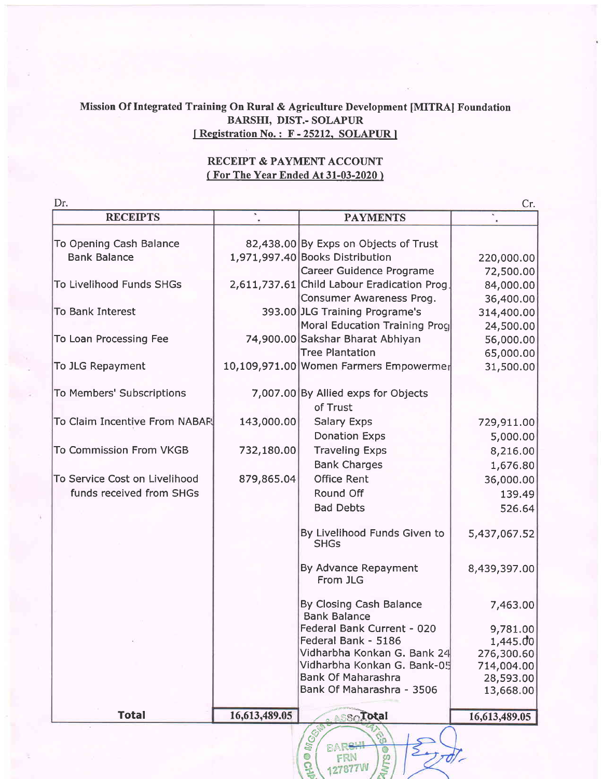## Mission Of Integrated Training On Rural & Agriculture Development [MITRA] Foundation BARSHI, DIST.. SOLAPUR [Registration No.: F-25212, SOLAPUR]

## RECEIPT & PAYMENT ACCOUNT ( For The Year Ended At 31-03-2020 )

| Dr.<br><b>RECEIPTS</b>        |               |                                                                         | Cr.           |
|-------------------------------|---------------|-------------------------------------------------------------------------|---------------|
|                               |               | <b>PAYMENTS</b>                                                         |               |
| To Opening Cash Balance       |               | 82,438.00 By Exps on Objects of Trust                                   |               |
| <b>Bank Balance</b>           |               | 1,971,997.40 Books Distribution                                         | 220,000.00    |
|                               |               | Career Guidence Programe                                                |               |
| To Livelihood Funds SHGs      |               |                                                                         | 72,500.00     |
|                               |               | 2,611,737.61 Child Labour Eradication Prog.                             | 84,000.00     |
|                               |               | Consumer Awareness Prog.                                                | 36,400.00     |
| <b>To Bank Interest</b>       |               | 393.00 JLG Training Programe's                                          | 314,400.00    |
|                               |               | Moral Education Training Prog                                           | 24,500.00     |
| To Loan Processing Fee        |               | 74,900.00 Sakshar Bharat Abhiyan                                        | 56,000.00     |
|                               |               | <b>Tree Plantation</b>                                                  | 65,000.00     |
| To JLG Repayment              |               | 10,109,971.00 Women Farmers Empowermer                                  | 31,500.00     |
| To Members' Subscriptions     |               | 7,007.00 By Allied exps for Objects                                     |               |
|                               |               | of Trust                                                                |               |
| To Claim Incentive From NABAR | 143,000.00    | <b>Salary Exps</b>                                                      | 729,911.00    |
|                               |               | <b>Donation Exps</b>                                                    | 5,000.00      |
| To Commission From VKGB       | 732,180.00    | <b>Traveling Exps</b>                                                   | 8,216.00      |
|                               |               | <b>Bank Charges</b>                                                     | 1,676.80      |
| To Service Cost on Livelihood | 879,865.04    | <b>Office Rent</b>                                                      | 36,000.00     |
| funds received from SHGs      |               | Round Off                                                               | 139.49        |
|                               |               | <b>Bad Debts</b>                                                        |               |
|                               |               |                                                                         | 526.64        |
|                               |               | By Livelihood Funds Given to<br><b>SHGs</b>                             | 5,437,067.52  |
|                               |               | By Advance Repayment<br>From JLG                                        | 8,439,397.00  |
|                               |               | By Closing Cash Balance<br><b>Bank Balance</b>                          | 7,463.00      |
|                               |               | Federal Bank Current - 020                                              | 9,781.00      |
|                               |               | Federal Bank - 5186                                                     | 1,445.00      |
|                               |               | Vidharbha Konkan G. Bank 24                                             | 276,300.60    |
|                               |               | Vidharbha Konkan G. Bank-05                                             | 714,004.00    |
|                               |               | <b>Bank Of Maharashra</b>                                               | 28,593.00     |
|                               |               | Bank Of Maharashra - 3506                                               | 13,668.00     |
| <b>Total</b>                  | 16,613,489.05 | $\mathbb{S}\otimes \overline{\mathbf{I}}$ otal                          | 16,613,489.05 |
|                               |               | <b>INGST</b><br>္ပြ<br><b>BARSH</b><br>۰<br>FRN<br>ω<br><b>127877VV</b> |               |